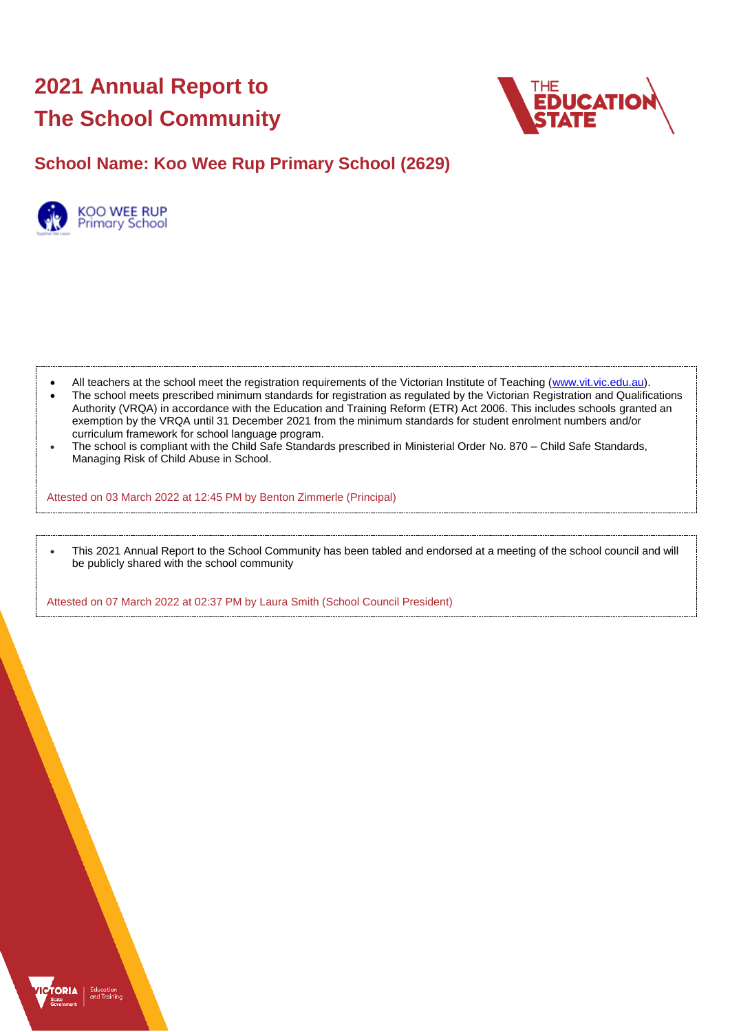# **2021 Annual Report to The School Community**



# **School Name: Koo Wee Rup Primary School (2629)**



- All teachers at the school meet the registration requirements of the Victorian Institute of Teaching [\(www.vit.vic.edu.au\)](https://www.vit.vic.edu.au/).
- The school meets prescribed minimum standards for registration as regulated by the Victorian Registration and Qualifications Authority (VRQA) in accordance with the Education and Training Reform (ETR) Act 2006. This includes schools granted an exemption by the VRQA until 31 December 2021 from the minimum standards for student enrolment numbers and/or curriculum framework for school language program.
- The school is compliant with the Child Safe Standards prescribed in Ministerial Order No. 870 Child Safe Standards, Managing Risk of Child Abuse in School.

Attested on 03 March 2022 at 12:45 PM by Benton Zimmerle (Principal)

• This 2021 Annual Report to the School Community has been tabled and endorsed at a meeting of the school council and will be publicly shared with the school community

Attested on 07 March 2022 at 02:37 PM by Laura Smith (School Council President)

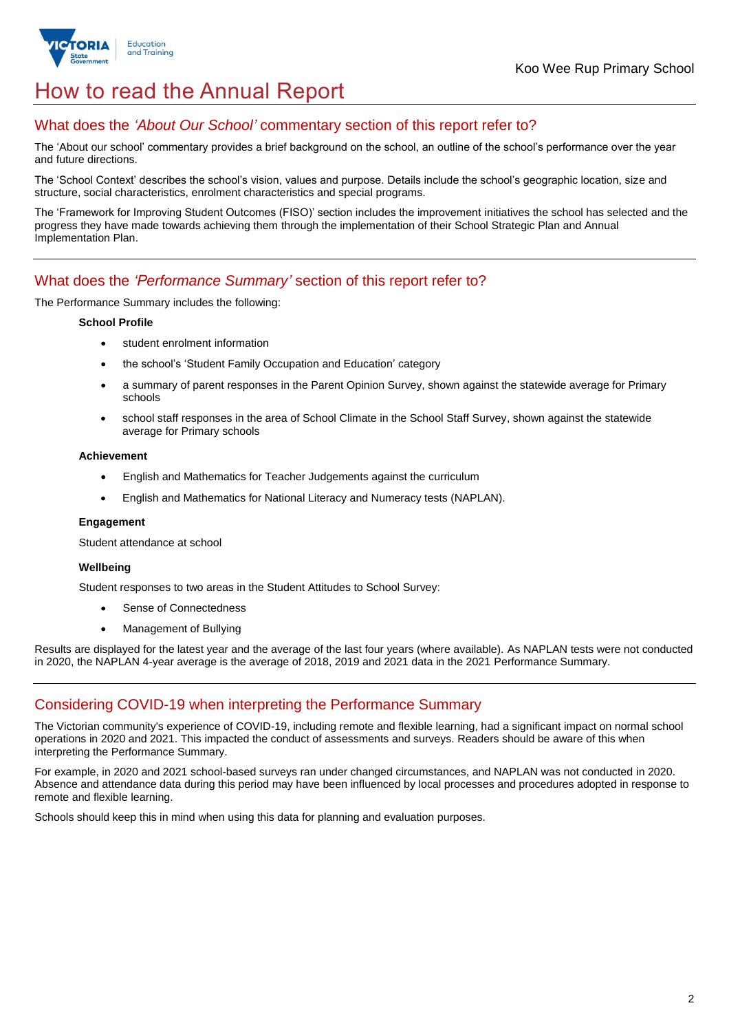

# How to read the Annual Report

### What does the *'About Our School'* commentary section of this report refer to?

The 'About our school' commentary provides a brief background on the school, an outline of the school's performance over the year and future directions.

The 'School Context' describes the school's vision, values and purpose. Details include the school's geographic location, size and structure, social characteristics, enrolment characteristics and special programs.

The 'Framework for Improving Student Outcomes (FISO)' section includes the improvement initiatives the school has selected and the progress they have made towards achieving them through the implementation of their School Strategic Plan and Annual Implementation Plan.

### What does the *'Performance Summary'* section of this report refer to?

The Performance Summary includes the following:

### **School Profile**

- student enrolment information
- the school's 'Student Family Occupation and Education' category
- a summary of parent responses in the Parent Opinion Survey, shown against the statewide average for Primary schools
- school staff responses in the area of School Climate in the School Staff Survey, shown against the statewide average for Primary schools

### **Achievement**

- English and Mathematics for Teacher Judgements against the curriculum
- English and Mathematics for National Literacy and Numeracy tests (NAPLAN).

### **Engagement**

Student attendance at school

### **Wellbeing**

Student responses to two areas in the Student Attitudes to School Survey:

- Sense of Connectedness
- Management of Bullying

Results are displayed for the latest year and the average of the last four years (where available). As NAPLAN tests were not conducted in 2020, the NAPLAN 4-year average is the average of 2018, 2019 and 2021 data in the 2021 Performance Summary.

## Considering COVID-19 when interpreting the Performance Summary

The Victorian community's experience of COVID-19, including remote and flexible learning, had a significant impact on normal school operations in 2020 and 2021. This impacted the conduct of assessments and surveys. Readers should be aware of this when interpreting the Performance Summary.

For example, in 2020 and 2021 school-based surveys ran under changed circumstances, and NAPLAN was not conducted in 2020. Absence and attendance data during this period may have been influenced by local processes and procedures adopted in response to remote and flexible learning.

Schools should keep this in mind when using this data for planning and evaluation purposes.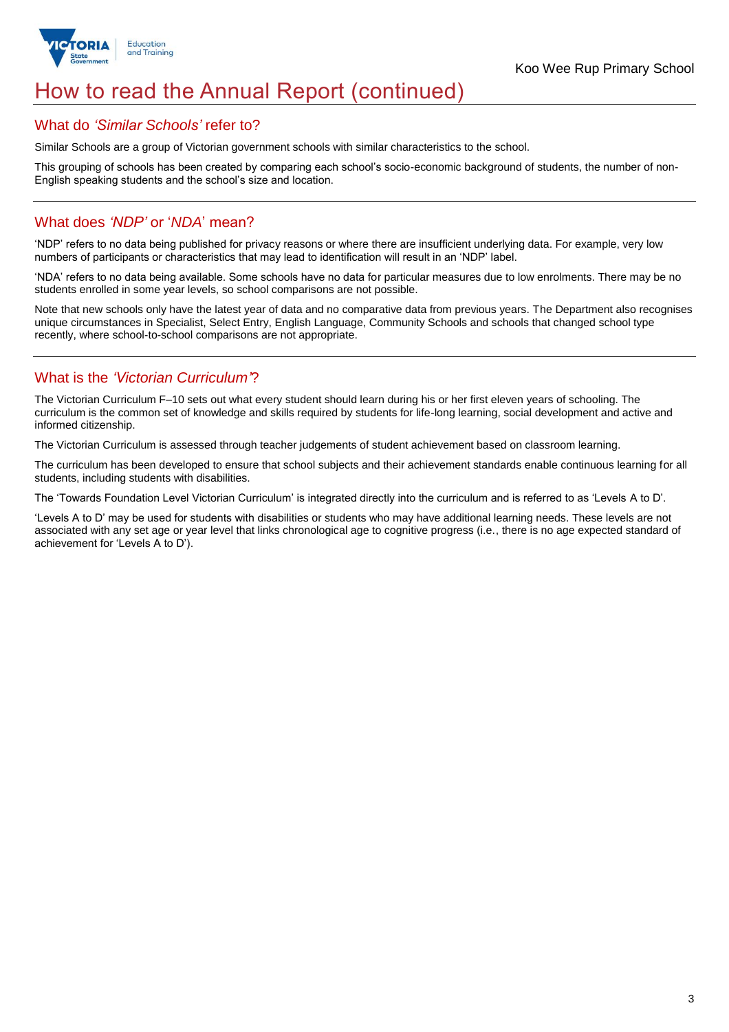

# How to read the Annual Report (continued)

### What do *'Similar Schools'* refer to?

Similar Schools are a group of Victorian government schools with similar characteristics to the school.

This grouping of schools has been created by comparing each school's socio-economic background of students, the number of non-English speaking students and the school's size and location.

## What does *'NDP'* or '*NDA*' mean?

'NDP' refers to no data being published for privacy reasons or where there are insufficient underlying data. For example, very low numbers of participants or characteristics that may lead to identification will result in an 'NDP' label.

'NDA' refers to no data being available. Some schools have no data for particular measures due to low enrolments. There may be no students enrolled in some year levels, so school comparisons are not possible.

Note that new schools only have the latest year of data and no comparative data from previous years. The Department also recognises unique circumstances in Specialist, Select Entry, English Language, Community Schools and schools that changed school type recently, where school-to-school comparisons are not appropriate.

## What is the *'Victorian Curriculum'*?

The Victorian Curriculum F–10 sets out what every student should learn during his or her first eleven years of schooling. The curriculum is the common set of knowledge and skills required by students for life-long learning, social development and active and informed citizenship.

The Victorian Curriculum is assessed through teacher judgements of student achievement based on classroom learning.

The curriculum has been developed to ensure that school subjects and their achievement standards enable continuous learning for all students, including students with disabilities.

The 'Towards Foundation Level Victorian Curriculum' is integrated directly into the curriculum and is referred to as 'Levels A to D'.

'Levels A to D' may be used for students with disabilities or students who may have additional learning needs. These levels are not associated with any set age or year level that links chronological age to cognitive progress (i.e., there is no age expected standard of achievement for 'Levels A to D').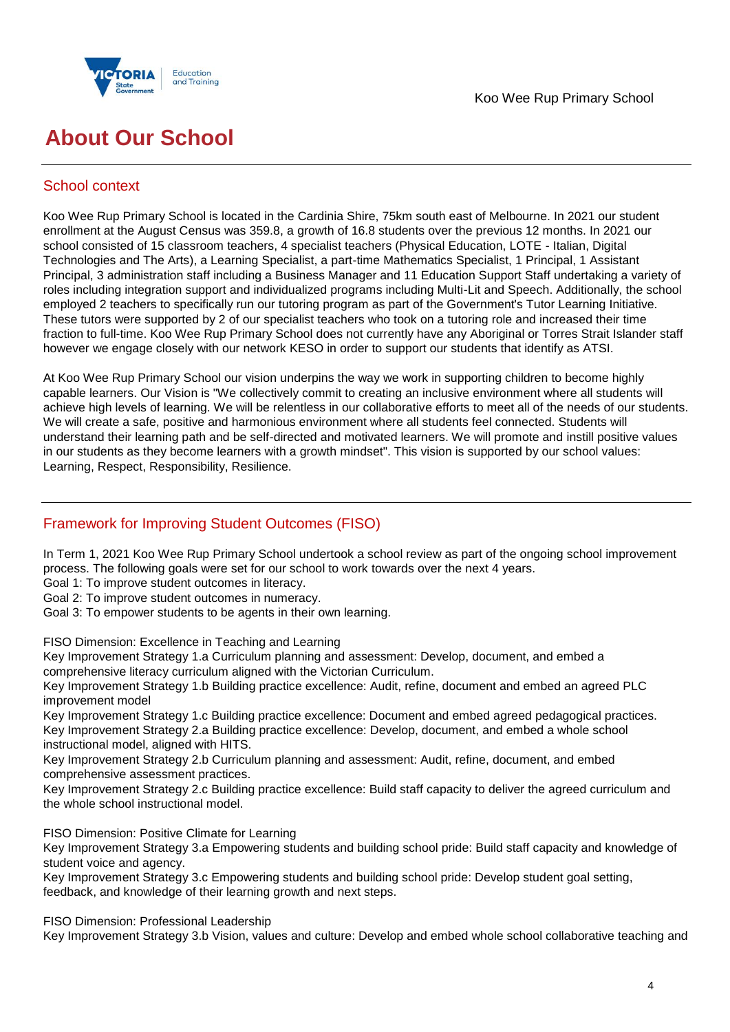



# **About Our School**

## School context

Koo Wee Rup Primary School is located in the Cardinia Shire, 75km south east of Melbourne. In 2021 our student enrollment at the August Census was 359.8, a growth of 16.8 students over the previous 12 months. In 2021 our school consisted of 15 classroom teachers, 4 specialist teachers (Physical Education, LOTE - Italian, Digital Technologies and The Arts), a Learning Specialist, a part-time Mathematics Specialist, 1 Principal, 1 Assistant Principal, 3 administration staff including a Business Manager and 11 Education Support Staff undertaking a variety of roles including integration support and individualized programs including Multi-Lit and Speech. Additionally, the school employed 2 teachers to specifically run our tutoring program as part of the Government's Tutor Learning Initiative. These tutors were supported by 2 of our specialist teachers who took on a tutoring role and increased their time fraction to full-time. Koo Wee Rup Primary School does not currently have any Aboriginal or Torres Strait Islander staff however we engage closely with our network KESO in order to support our students that identify as ATSI.

At Koo Wee Rup Primary School our vision underpins the way we work in supporting children to become highly capable learners. Our Vision is "We collectively commit to creating an inclusive environment where all students will achieve high levels of learning. We will be relentless in our collaborative efforts to meet all of the needs of our students. We will create a safe, positive and harmonious environment where all students feel connected. Students will understand their learning path and be self-directed and motivated learners. We will promote and instill positive values in our students as they become learners with a growth mindset". This vision is supported by our school values: Learning, Respect, Responsibility, Resilience.

## Framework for Improving Student Outcomes (FISO)

In Term 1, 2021 Koo Wee Rup Primary School undertook a school review as part of the ongoing school improvement process. The following goals were set for our school to work towards over the next 4 years.

Goal 1: To improve student outcomes in literacy.

Goal 2: To improve student outcomes in numeracy.

Goal 3: To empower students to be agents in their own learning.

FISO Dimension: Excellence in Teaching and Learning

Key Improvement Strategy 1.a Curriculum planning and assessment: Develop, document, and embed a comprehensive literacy curriculum aligned with the Victorian Curriculum.

Key Improvement Strategy 1.b Building practice excellence: Audit, refine, document and embed an agreed PLC improvement model

Key Improvement Strategy 1.c Building practice excellence: Document and embed agreed pedagogical practices. Key Improvement Strategy 2.a Building practice excellence: Develop, document, and embed a whole school instructional model, aligned with HITS.

Key Improvement Strategy 2.b Curriculum planning and assessment: Audit, refine, document, and embed comprehensive assessment practices.

Key Improvement Strategy 2.c Building practice excellence: Build staff capacity to deliver the agreed curriculum and the whole school instructional model.

FISO Dimension: Positive Climate for Learning

Key Improvement Strategy 3.a Empowering students and building school pride: Build staff capacity and knowledge of student voice and agency.

Key Improvement Strategy 3.c Empowering students and building school pride: Develop student goal setting, feedback, and knowledge of their learning growth and next steps.

FISO Dimension: Professional Leadership

Key Improvement Strategy 3.b Vision, values and culture: Develop and embed whole school collaborative teaching and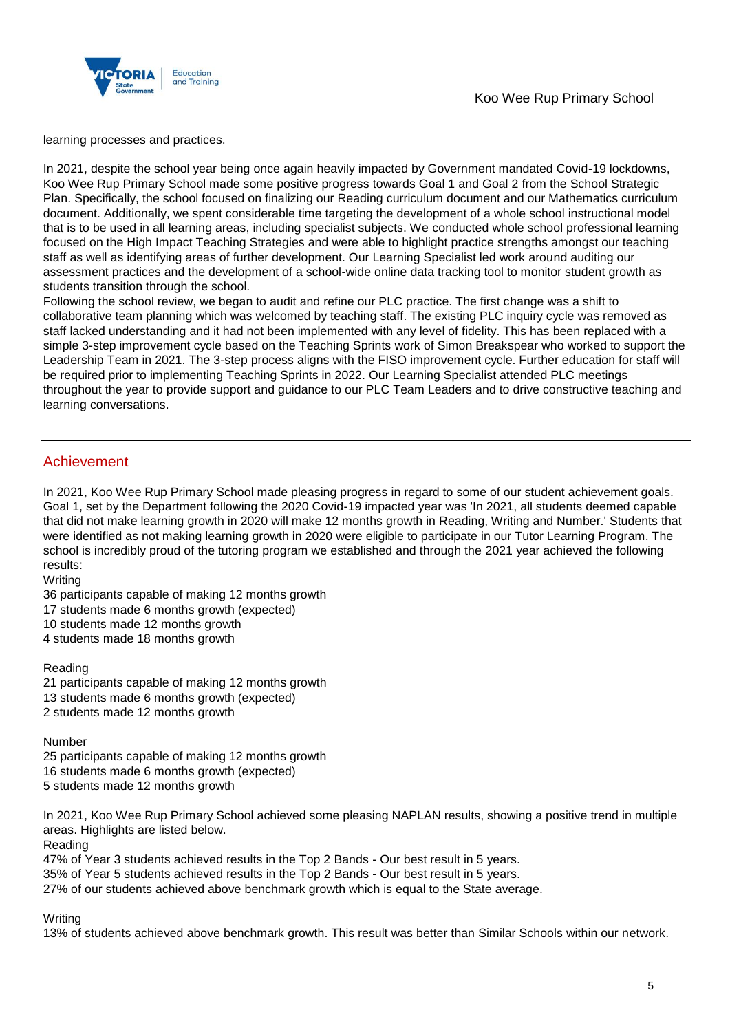

learning processes and practices.

In 2021, despite the school year being once again heavily impacted by Government mandated Covid-19 lockdowns, Koo Wee Rup Primary School made some positive progress towards Goal 1 and Goal 2 from the School Strategic Plan. Specifically, the school focused on finalizing our Reading curriculum document and our Mathematics curriculum document. Additionally, we spent considerable time targeting the development of a whole school instructional model that is to be used in all learning areas, including specialist subjects. We conducted whole school professional learning focused on the High Impact Teaching Strategies and were able to highlight practice strengths amongst our teaching staff as well as identifying areas of further development. Our Learning Specialist led work around auditing our assessment practices and the development of a school-wide online data tracking tool to monitor student growth as students transition through the school.

Following the school review, we began to audit and refine our PLC practice. The first change was a shift to collaborative team planning which was welcomed by teaching staff. The existing PLC inquiry cycle was removed as staff lacked understanding and it had not been implemented with any level of fidelity. This has been replaced with a simple 3-step improvement cycle based on the Teaching Sprints work of Simon Breakspear who worked to support the Leadership Team in 2021. The 3-step process aligns with the FISO improvement cycle. Further education for staff will be required prior to implementing Teaching Sprints in 2022. Our Learning Specialist attended PLC meetings throughout the year to provide support and guidance to our PLC Team Leaders and to drive constructive teaching and learning conversations.

### Achievement

In 2021, Koo Wee Rup Primary School made pleasing progress in regard to some of our student achievement goals. Goal 1, set by the Department following the 2020 Covid-19 impacted year was 'In 2021, all students deemed capable that did not make learning growth in 2020 will make 12 months growth in Reading, Writing and Number.' Students that were identified as not making learning growth in 2020 were eligible to participate in our Tutor Learning Program. The school is incredibly proud of the tutoring program we established and through the 2021 year achieved the following results:

**Writing** 

36 participants capable of making 12 months growth

17 students made 6 months growth (expected)

10 students made 12 months growth

4 students made 18 months growth

### Reading

21 participants capable of making 12 months growth 13 students made 6 months growth (expected) 2 students made 12 months growth

### Number

25 participants capable of making 12 months growth 16 students made 6 months growth (expected) 5 students made 12 months growth

In 2021, Koo Wee Rup Primary School achieved some pleasing NAPLAN results, showing a positive trend in multiple areas. Highlights are listed below.

Reading

47% of Year 3 students achieved results in the Top 2 Bands - Our best result in 5 years.

35% of Year 5 students achieved results in the Top 2 Bands - Our best result in 5 years.

27% of our students achieved above benchmark growth which is equal to the State average.

### **Writing**

13% of students achieved above benchmark growth. This result was better than Similar Schools within our network.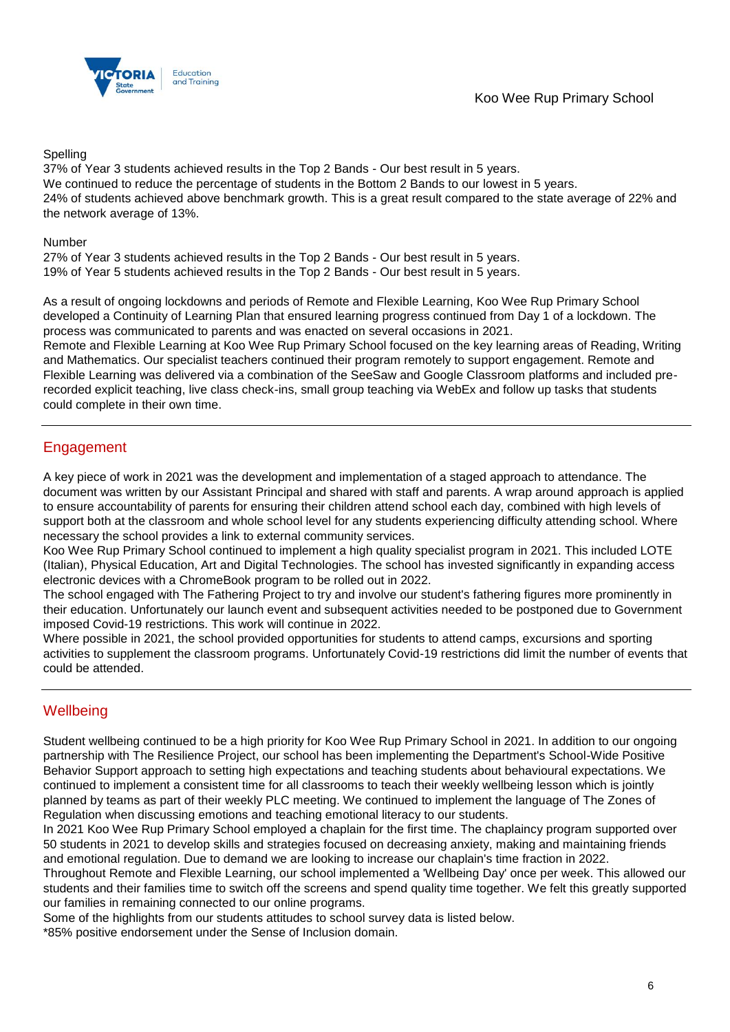

Spelling

37% of Year 3 students achieved results in the Top 2 Bands - Our best result in 5 years. We continued to reduce the percentage of students in the Bottom 2 Bands to our lowest in 5 years. 24% of students achieved above benchmark growth. This is a great result compared to the state average of 22% and the network average of 13%.

### Number

27% of Year 3 students achieved results in the Top 2 Bands - Our best result in 5 years. 19% of Year 5 students achieved results in the Top 2 Bands - Our best result in 5 years.

As a result of ongoing lockdowns and periods of Remote and Flexible Learning, Koo Wee Rup Primary School developed a Continuity of Learning Plan that ensured learning progress continued from Day 1 of a lockdown. The process was communicated to parents and was enacted on several occasions in 2021.

Remote and Flexible Learning at Koo Wee Rup Primary School focused on the key learning areas of Reading, Writing and Mathematics. Our specialist teachers continued their program remotely to support engagement. Remote and Flexible Learning was delivered via a combination of the SeeSaw and Google Classroom platforms and included prerecorded explicit teaching, live class check-ins, small group teaching via WebEx and follow up tasks that students could complete in their own time.

## Engagement

A key piece of work in 2021 was the development and implementation of a staged approach to attendance. The document was written by our Assistant Principal and shared with staff and parents. A wrap around approach is applied to ensure accountability of parents for ensuring their children attend school each day, combined with high levels of support both at the classroom and whole school level for any students experiencing difficulty attending school. Where necessary the school provides a link to external community services.

Koo Wee Rup Primary School continued to implement a high quality specialist program in 2021. This included LOTE (Italian), Physical Education, Art and Digital Technologies. The school has invested significantly in expanding access electronic devices with a ChromeBook program to be rolled out in 2022.

The school engaged with The Fathering Project to try and involve our student's fathering figures more prominently in their education. Unfortunately our launch event and subsequent activities needed to be postponed due to Government imposed Covid-19 restrictions. This work will continue in 2022.

Where possible in 2021, the school provided opportunities for students to attend camps, excursions and sporting activities to supplement the classroom programs. Unfortunately Covid-19 restrictions did limit the number of events that could be attended.

## **Wellbeing**

Student wellbeing continued to be a high priority for Koo Wee Rup Primary School in 2021. In addition to our ongoing partnership with The Resilience Project, our school has been implementing the Department's School-Wide Positive Behavior Support approach to setting high expectations and teaching students about behavioural expectations. We continued to implement a consistent time for all classrooms to teach their weekly wellbeing lesson which is jointly planned by teams as part of their weekly PLC meeting. We continued to implement the language of The Zones of Regulation when discussing emotions and teaching emotional literacy to our students.

In 2021 Koo Wee Rup Primary School employed a chaplain for the first time. The chaplaincy program supported over 50 students in 2021 to develop skills and strategies focused on decreasing anxiety, making and maintaining friends and emotional regulation. Due to demand we are looking to increase our chaplain's time fraction in 2022.

Throughout Remote and Flexible Learning, our school implemented a 'Wellbeing Day' once per week. This allowed our students and their families time to switch off the screens and spend quality time together. We felt this greatly supported our families in remaining connected to our online programs.

Some of the highlights from our students attitudes to school survey data is listed below.

\*85% positive endorsement under the Sense of Inclusion domain.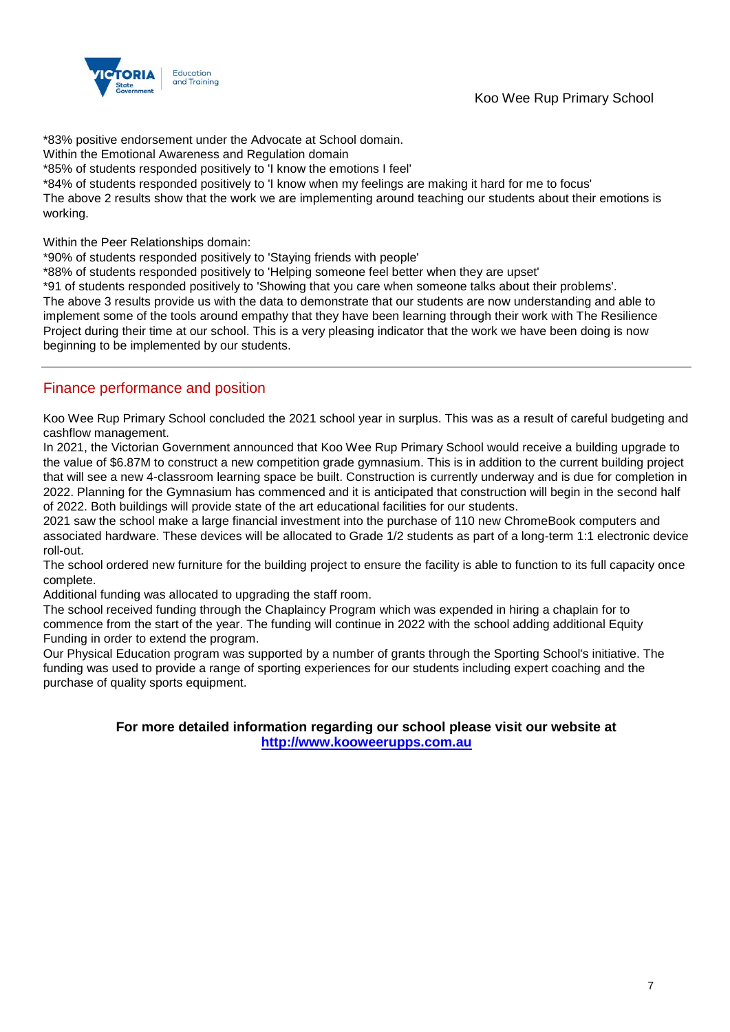

\*83% positive endorsement under the Advocate at School domain.

Within the Emotional Awareness and Regulation domain

\*85% of students responded positively to 'I know the emotions I feel'

\*84% of students responded positively to 'I know when my feelings are making it hard for me to focus'

The above 2 results show that the work we are implementing around teaching our students about their emotions is working.

Within the Peer Relationships domain:

\*90% of students responded positively to 'Staying friends with people'

\*88% of students responded positively to 'Helping someone feel better when they are upset'

\*91 of students responded positively to 'Showing that you care when someone talks about their problems'.

The above 3 results provide us with the data to demonstrate that our students are now understanding and able to implement some of the tools around empathy that they have been learning through their work with The Resilience Project during their time at our school. This is a very pleasing indicator that the work we have been doing is now beginning to be implemented by our students.

### Finance performance and position

Koo Wee Rup Primary School concluded the 2021 school year in surplus. This was as a result of careful budgeting and cashflow management.

In 2021, the Victorian Government announced that Koo Wee Rup Primary School would receive a building upgrade to the value of \$6.87M to construct a new competition grade gymnasium. This is in addition to the current building project that will see a new 4-classroom learning space be built. Construction is currently underway and is due for completion in 2022. Planning for the Gymnasium has commenced and it is anticipated that construction will begin in the second half of 2022. Both buildings will provide state of the art educational facilities for our students.

2021 saw the school make a large financial investment into the purchase of 110 new ChromeBook computers and associated hardware. These devices will be allocated to Grade 1/2 students as part of a long-term 1:1 electronic device roll-out.

The school ordered new furniture for the building project to ensure the facility is able to function to its full capacity once complete.

Additional funding was allocated to upgrading the staff room.

The school received funding through the Chaplaincy Program which was expended in hiring a chaplain for to commence from the start of the year. The funding will continue in 2022 with the school adding additional Equity Funding in order to extend the program.

Our Physical Education program was supported by a number of grants through the Sporting School's initiative. The funding was used to provide a range of sporting experiences for our students including expert coaching and the purchase of quality sports equipment.

> **For more detailed information regarding our school please visit our website at [http://www.kooweerupps.com.au](http://www.kooweerupps.com.au/)**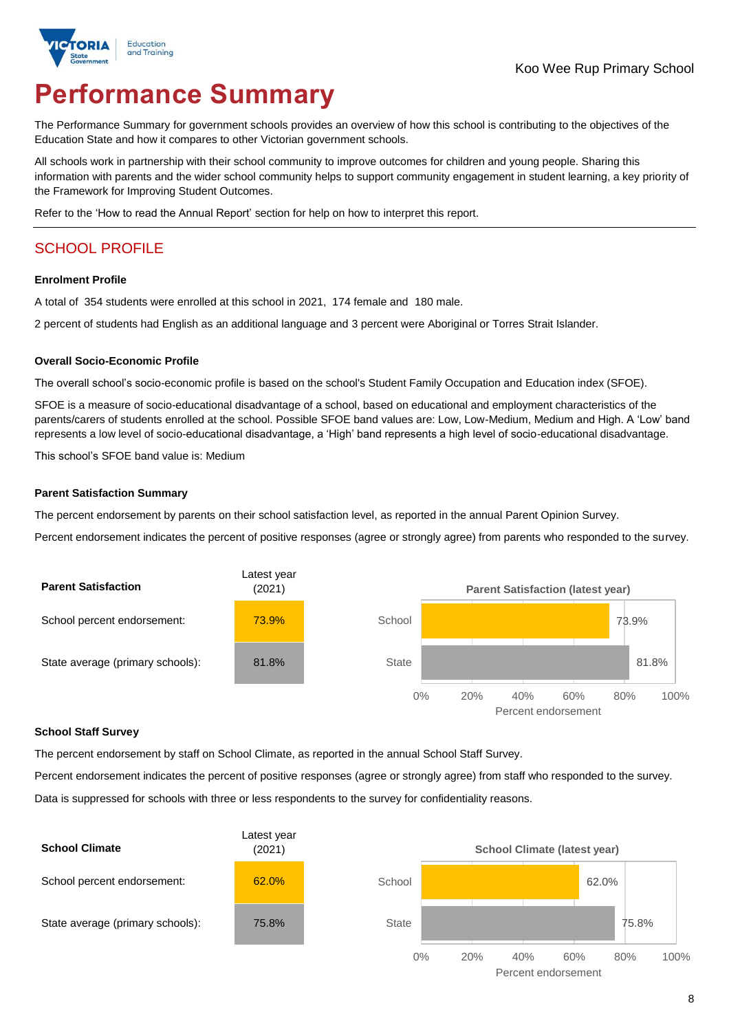

# **Performance Summary**

The Performance Summary for government schools provides an overview of how this school is contributing to the objectives of the Education State and how it compares to other Victorian government schools.

All schools work in partnership with their school community to improve outcomes for children and young people. Sharing this information with parents and the wider school community helps to support community engagement in student learning, a key priority of the Framework for Improving Student Outcomes.

Refer to the 'How to read the Annual Report' section for help on how to interpret this report.

# SCHOOL PROFILE

### **Enrolment Profile**

A total of 354 students were enrolled at this school in 2021, 174 female and 180 male.

2 percent of students had English as an additional language and 3 percent were Aboriginal or Torres Strait Islander.

### **Overall Socio-Economic Profile**

The overall school's socio-economic profile is based on the school's Student Family Occupation and Education index (SFOE).

SFOE is a measure of socio-educational disadvantage of a school, based on educational and employment characteristics of the parents/carers of students enrolled at the school. Possible SFOE band values are: Low, Low-Medium, Medium and High. A 'Low' band represents a low level of socio-educational disadvantage, a 'High' band represents a high level of socio-educational disadvantage.

This school's SFOE band value is: Medium

### **Parent Satisfaction Summary**

The percent endorsement by parents on their school satisfaction level, as reported in the annual Parent Opinion Survey.

Percent endorsement indicates the percent of positive responses (agree or strongly agree) from parents who responded to the survey.



### **School Staff Survey**

The percent endorsement by staff on School Climate, as reported in the annual School Staff Survey.

Percent endorsement indicates the percent of positive responses (agree or strongly agree) from staff who responded to the survey. Data is suppressed for schools with three or less respondents to the survey for confidentiality reasons.

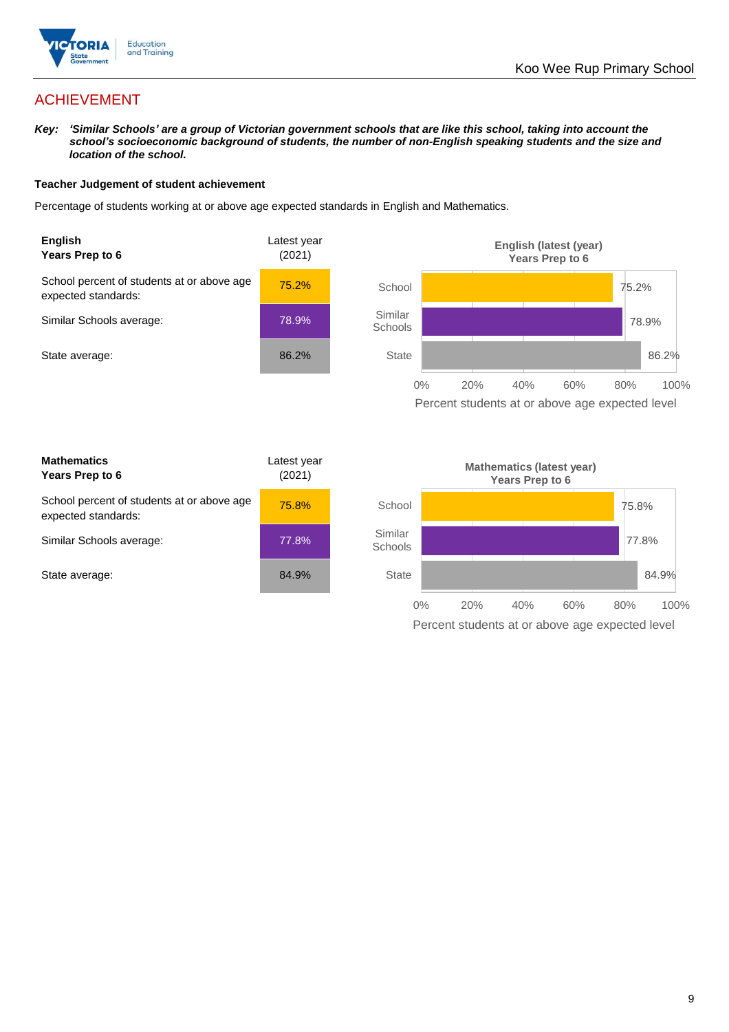

# ACHIEVEMENT

*Key: 'Similar Schools' are a group of Victorian government schools that are like this school, taking into account the school's socioeconomic background of students, the number of non-English speaking students and the size and location of the school.*

### **Teacher Judgement of student achievement**

Percentage of students working at or above age expected standards in English and Mathematics.



Percent students at or above age expected level

| <b>Mathematics</b><br>Years Prep to 6                             | Latest year<br>(2021) |
|-------------------------------------------------------------------|-----------------------|
| School percent of students at or above age<br>expected standards: | 75.8%                 |
| Similar Schools average:                                          | 77.8%                 |
| State average:                                                    | 84.9%                 |

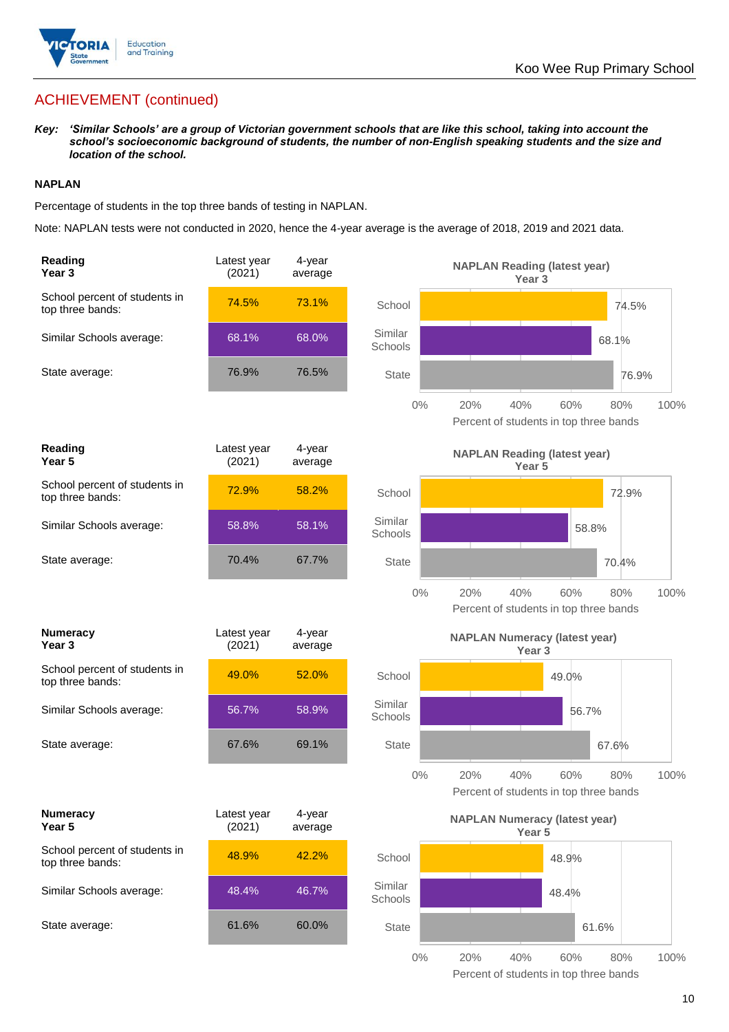

# ACHIEVEMENT (continued)

*Key: 'Similar Schools' are a group of Victorian government schools that are like this school, taking into account the school's socioeconomic background of students, the number of non-English speaking students and the size and location of the school.*

### **NAPLAN**

Percentage of students in the top three bands of testing in NAPLAN.

Note: NAPLAN tests were not conducted in 2020, hence the 4-year average is the average of 2018, 2019 and 2021 data.

| Reading<br>Year <sub>3</sub>                      | Latest year<br>(2021) | 4-year<br>average |                    | <b>NAPLAN Reading (latest year)</b><br>Year <sub>3</sub>                   |
|---------------------------------------------------|-----------------------|-------------------|--------------------|----------------------------------------------------------------------------|
| School percent of students in<br>top three bands: | 74.5%                 | 73.1%             | School             | 74.5%                                                                      |
| Similar Schools average:                          | 68.1%                 | 68.0%             | Similar<br>Schools | 68.1%                                                                      |
| State average:                                    | 76.9%                 | 76.5%             | <b>State</b>       | 76.9%                                                                      |
|                                                   |                       |                   | $0\%$              | 60%<br>100%<br>20%<br>40%<br>80%<br>Percent of students in top three bands |
| Reading<br>Year <sub>5</sub>                      | Latest year<br>(2021) | 4-year<br>average |                    | <b>NAPLAN Reading (latest year)</b><br>Year 5                              |
| School percent of students in<br>top three bands: | 72.9%                 | 58.2%             | School             | 72.9%                                                                      |
| Similar Schools average:                          | 58.8%                 | 58.1%             | Similar<br>Schools | 58.8%                                                                      |
| State average:                                    | 70.4%                 | 67.7%             | <b>State</b>       | 70.4%                                                                      |
|                                                   |                       |                   | $0\%$              | 20%<br>40%<br>60%<br>80%<br>100%<br>Percent of students in top three bands |
| <b>Numeracy</b><br>Year <sub>3</sub>              | Latest year<br>(2021) | 4-year<br>average |                    | <b>NAPLAN Numeracy (latest year)</b><br>Year <sub>3</sub>                  |
| School percent of students in<br>top three bands: | 49.0%                 | 52.0%             | School             | 49.0%                                                                      |
|                                                   |                       |                   |                    |                                                                            |
| Similar Schools average:                          | 56.7%                 | 58.9%             | Similar<br>Schools | 56.7%                                                                      |
| State average:                                    | 67.6%                 | 69.1%             | <b>State</b>       | 67.6%                                                                      |
|                                                   |                       |                   | $0\%$              | 20%<br>40%<br>60%<br>80%<br>100%<br>Percent of students in top three bands |
| <b>Numeracy</b><br>Year 5                         | Latest year<br>(2021) | 4-year<br>average |                    | <b>NAPLAN Numeracy (latest year)</b><br>Year 5                             |
| School percent of students in<br>top three bands: | 48.9%                 | 42.2%             | School             | 48.9%                                                                      |
| Similar Schools average:                          | 48.4%                 | 46.7%             | Similar<br>Schools | 48.4%                                                                      |
| State average:                                    | 61.6%                 | 60.0%             | <b>State</b>       | 61.6%                                                                      |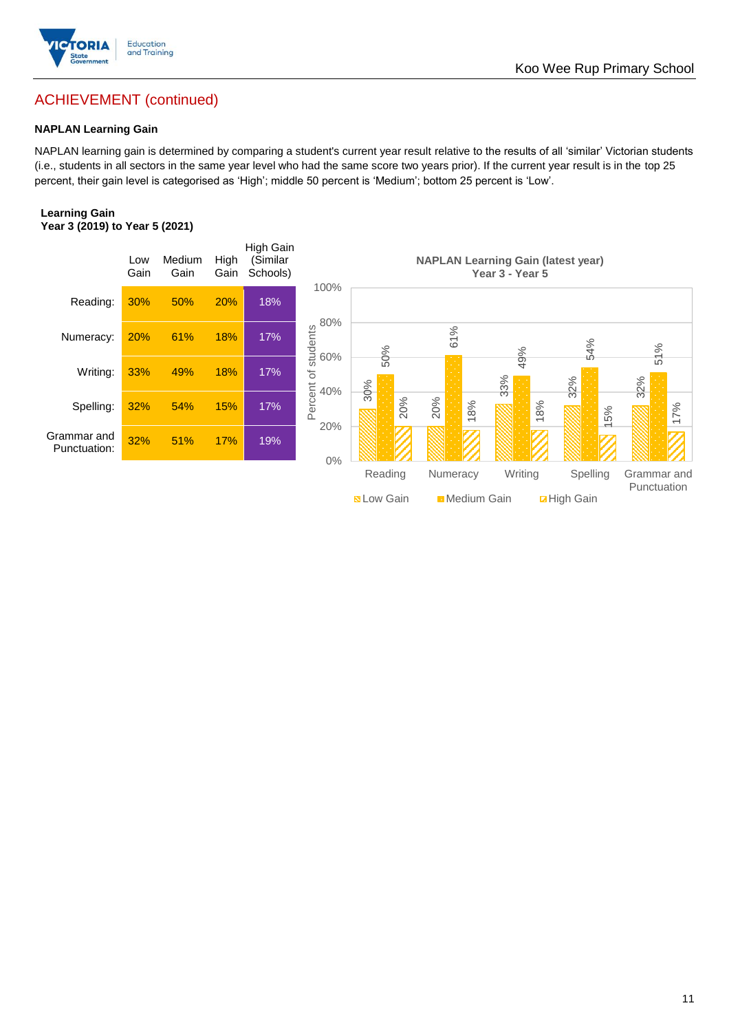

# ACHIEVEMENT (continued)

### **NAPLAN Learning Gain**

NAPLAN learning gain is determined by comparing a student's current year result relative to the results of all 'similar' Victorian students (i.e., students in all sectors in the same year level who had the same score two years prior). If the current year result is in the top 25 percent, their gain level is categorised as 'High'; middle 50 percent is 'Medium'; bottom 25 percent is 'Low'.

### **Learning Gain Year 3 (2019) to Year 5 (2021)**



**BLow Gain** Medium Gain **Example 10**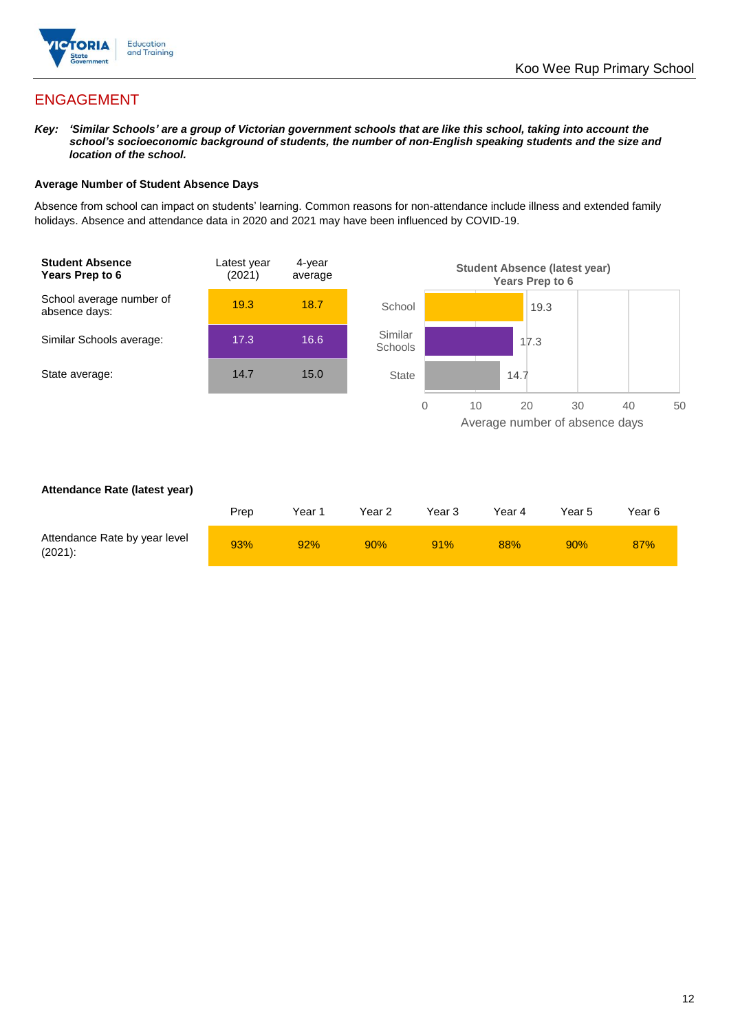

## ENGAGEMENT

*Key: 'Similar Schools' are a group of Victorian government schools that are like this school, taking into account the school's socioeconomic background of students, the number of non-English speaking students and the size and location of the school.*

### **Average Number of Student Absence Days**

Absence from school can impact on students' learning. Common reasons for non-attendance include illness and extended family holidays. Absence and attendance data in 2020 and 2021 may have been influenced by COVID-19.



### **Attendance Rate (latest year)**

|                                             | Prep | Year 1 | Year 2 | Year 3 | Year 4 | Year 5 | Year 6 |
|---------------------------------------------|------|--------|--------|--------|--------|--------|--------|
| Attendance Rate by year level<br>$(2021)$ : | 93%  | 92%    | $90\%$ | 91%    | 88%    | 90%    | 87%    |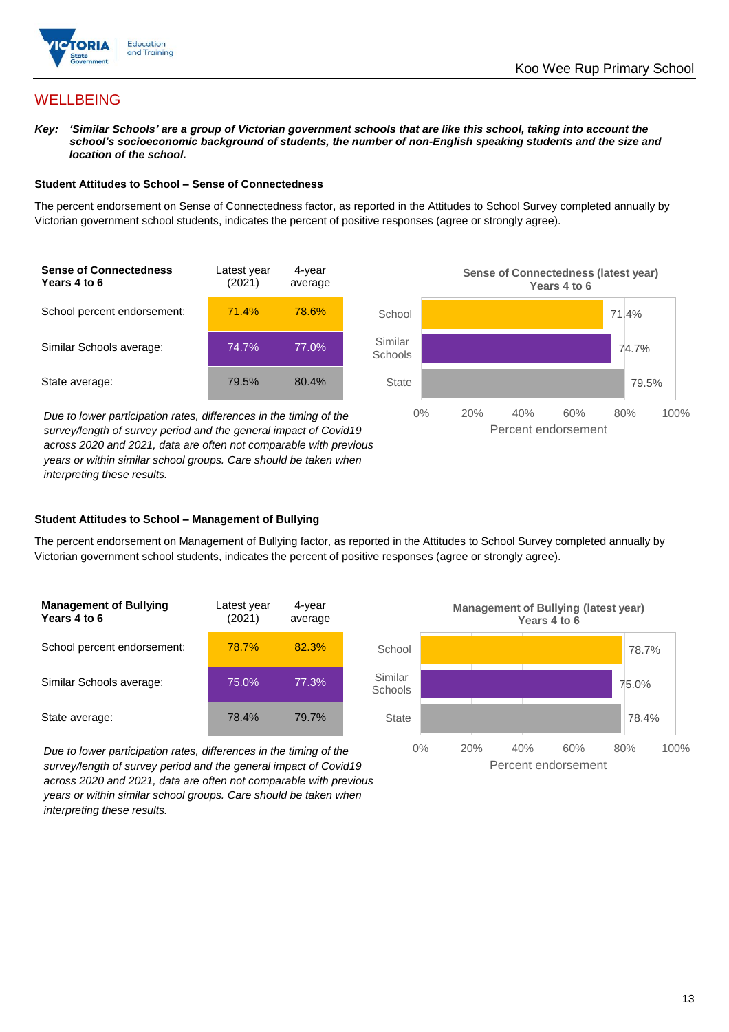

## **WELLBEING**

*Key: 'Similar Schools' are a group of Victorian government schools that are like this school, taking into account the school's socioeconomic background of students, the number of non-English speaking students and the size and location of the school.*

### **Student Attitudes to School – Sense of Connectedness**

The percent endorsement on Sense of Connectedness factor, as reported in the Attitudes to School Survey completed annually by Victorian government school students, indicates the percent of positive responses (agree or strongly agree).



*Due to lower participation rates, differences in the timing of the survey/length of survey period and the general impact of Covid19 across 2020 and 2021, data are often not comparable with previous years or within similar school groups. Care should be taken when interpreting these results.*



### **Student Attitudes to School – Management of Bullying**

The percent endorsement on Management of Bullying factor, as reported in the Attitudes to School Survey completed annually by Victorian government school students, indicates the percent of positive responses (agree or strongly agree).

| <b>Management of Bullying</b><br>Years 4 to 6 | Latest year<br>(2021) | 4-year<br>average |  |
|-----------------------------------------------|-----------------------|-------------------|--|
| School percent endorsement:                   | 78.7%                 | 82.3%             |  |
| Similar Schools average:                      | 75.0%                 | 77.3%             |  |
| State average:                                | 78.4%                 | 79.7%             |  |

*Due to lower participation rates, differences in the timing of the survey/length of survey period and the general impact of Covid19 across 2020 and 2021, data are often not comparable with previous years or within similar school groups. Care should be taken when interpreting these results.*

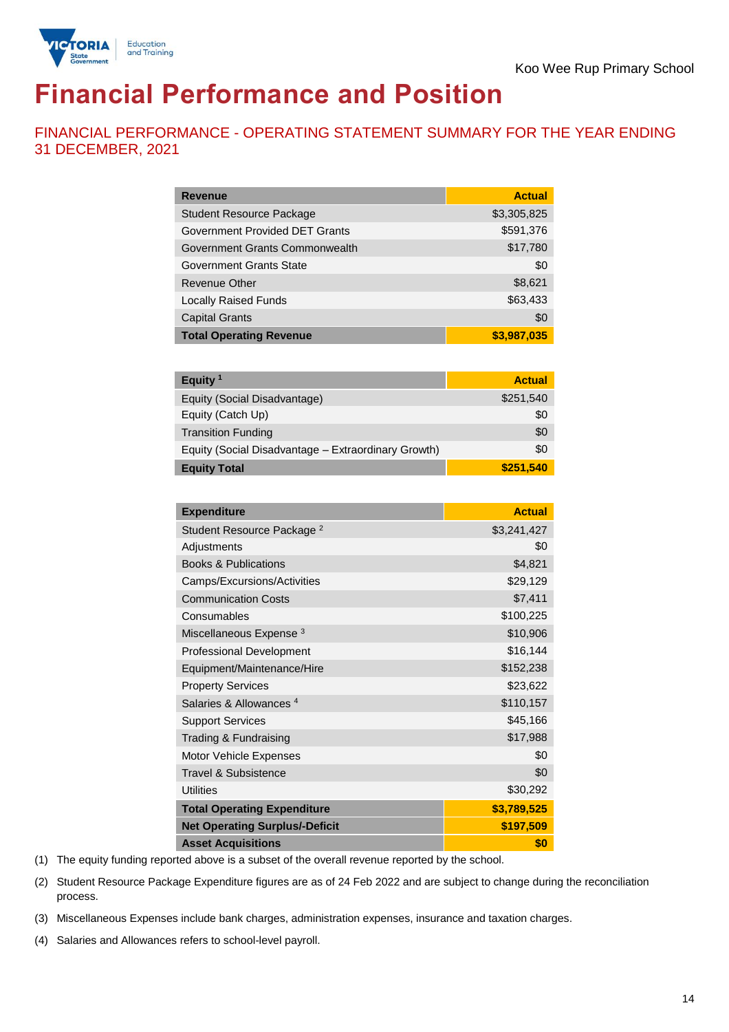

# **Financial Performance and Position**

FINANCIAL PERFORMANCE - OPERATING STATEMENT SUMMARY FOR THE YEAR ENDING 31 DECEMBER, 2021

| <b>Revenue</b>                  | <b>Actual</b> |
|---------------------------------|---------------|
| <b>Student Resource Package</b> | \$3,305,825   |
| Government Provided DET Grants  | \$591,376     |
| Government Grants Commonwealth  | \$17,780      |
| Government Grants State         | \$0           |
| Revenue Other                   | \$8,621       |
| <b>Locally Raised Funds</b>     | \$63,433      |
| <b>Capital Grants</b>           | \$0           |
| <b>Total Operating Revenue</b>  | \$3,987,035   |

| Equity <sup>1</sup>                                 | <b>Actual</b> |
|-----------------------------------------------------|---------------|
| Equity (Social Disadvantage)                        | \$251,540     |
| Equity (Catch Up)                                   | \$0           |
| <b>Transition Funding</b>                           | \$0           |
| Equity (Social Disadvantage - Extraordinary Growth) | \$0           |
| <b>Equity Total</b>                                 | \$251,540     |

| <b>Expenditure</b>                    | <b>Actual</b> |
|---------------------------------------|---------------|
| Student Resource Package <sup>2</sup> | \$3,241,427   |
| Adjustments                           | \$0           |
| <b>Books &amp; Publications</b>       | \$4,821       |
| Camps/Excursions/Activities           | \$29,129      |
| <b>Communication Costs</b>            | \$7,411       |
| Consumables                           | \$100,225     |
| Miscellaneous Expense <sup>3</sup>    | \$10,906      |
| <b>Professional Development</b>       | \$16,144      |
| Equipment/Maintenance/Hire            | \$152,238     |
| <b>Property Services</b>              | \$23,622      |
| Salaries & Allowances <sup>4</sup>    | \$110,157     |
| <b>Support Services</b>               | \$45,166      |
| Trading & Fundraising                 | \$17,988      |
| Motor Vehicle Expenses                | \$0           |
| Travel & Subsistence                  | \$0           |
| <b>Utilities</b>                      | \$30,292      |
| <b>Total Operating Expenditure</b>    | \$3,789,525   |
| <b>Net Operating Surplus/-Deficit</b> | \$197,509     |
| <b>Asset Acquisitions</b>             | \$0           |

(1) The equity funding reported above is a subset of the overall revenue reported by the school.

(2) Student Resource Package Expenditure figures are as of 24 Feb 2022 and are subject to change during the reconciliation process.

(3) Miscellaneous Expenses include bank charges, administration expenses, insurance and taxation charges.

(4) Salaries and Allowances refers to school-level payroll.